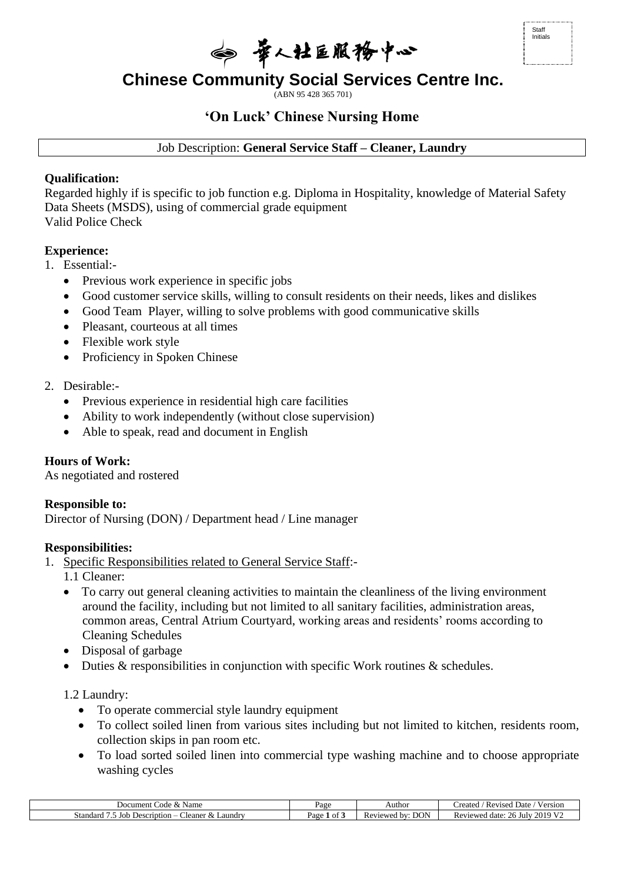

# **Chinese Community Social Services Centre Inc.**

(ABN 95 428 365 701)

# **'On Luck' Chinese Nursing Home**

Job Description: **General Service Staff – Cleaner, Laundry**

### **Qualification:**

Regarded highly if is specific to job function e.g. Diploma in Hospitality, knowledge of Material Safety Data Sheets (MSDS), using of commercial grade equipment Valid Police Check

# **Experience:**

- 1. Essential:-
	- Previous work experience in specific jobs
	- Good customer service skills, willing to consult residents on their needs, likes and dislikes
	- Good Team Player, willing to solve problems with good communicative skills
	- Pleasant, courteous at all times
	- Flexible work style
	- Proficiency in Spoken Chinese

#### 2. Desirable:-

- Previous experience in residential high care facilities
- Ability to work independently (without close supervision)
- Able to speak, read and document in English

# **Hours of Work:**

As negotiated and rostered

#### **Responsible to:**

Director of Nursing (DON) / Department head / Line manager

#### **Responsibilities:**

- 1. Specific Responsibilities related to General Service Staff:-
	- 1.1 Cleaner:
	- To carry out general cleaning activities to maintain the cleanliness of the living environment around the facility, including but not limited to all sanitary facilities, administration areas, common areas, Central Atrium Courtyard, working areas and residents' rooms according to Cleaning Schedules
	- Disposal of garbage
	- Duties & responsibilities in conjunction with specific Work routines & schedules.

#### 1.2 Laundry:

- To operate commercial style laundry equipment
- To collect soiled linen from various sites including but not limited to kitchen, residents room, collection skips in pan room etc.
- To load sorted soiled linen into commercial type washing machine and to choose appropriate washing cycles

| $\text{Code } \& \cap$<br>Name<br>Document                     | Page                                  | Author                         | $-$<br>reated<br>Date<br>Version<br>' Revised             |
|----------------------------------------------------------------|---------------------------------------|--------------------------------|-----------------------------------------------------------|
| ∟aundrv<br>.standard<br>Lleaner<br>Description -<br>$\sim$<br> | . .<br>Page<br>$\sim$<br>$\mathbf{u}$ | <b>DON</b><br>Reviewe<br>u bv: | $2010 \text{ V}$<br>ን ረ<br>. July<br>. date ·<br>Reviewed |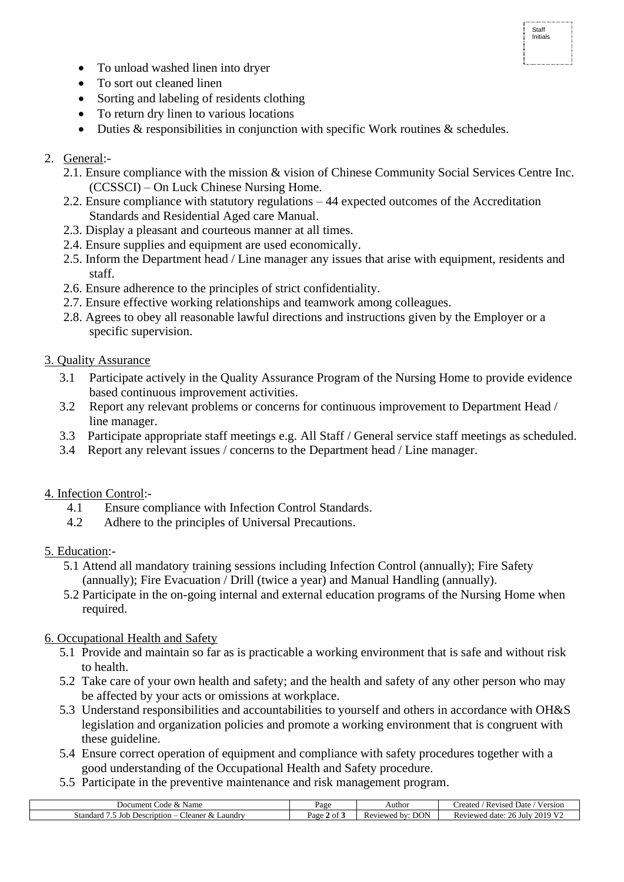- To unload washed linen into dryer
- To sort out cleaned linen
- Sorting and labeling of residents clothing
- To return dry linen to various locations
- Duties & responsibilities in conjunction with specific Work routines & schedules.

# 2. General:-

- 2.1. Ensure compliance with the mission & vision of Chinese Community Social Services Centre Inc. (CCSSCI) – On Luck Chinese Nursing Home.
- 2.2. Ensure compliance with statutory regulations 44 expected outcomes of the Accreditation Standards and Residential Aged care Manual.
- 2.3. Display a pleasant and courteous manner at all times.
- 2.4. Ensure supplies and equipment are used economically.
- 2.5. Inform the Department head / Line manager any issues that arise with equipment, residents and staff.
- 2.6. Ensure adherence to the principles of strict confidentiality.
- 2.7. Ensure effective working relationships and teamwork among colleagues.
- 2.8. Agrees to obey all reasonable lawful directions and instructions given by the Employer or a specific supervision.

# 3. Quality Assurance

- 3.1 Participate actively in the Quality Assurance Program of the Nursing Home to provide evidence based continuous improvement activities.
- 3.2 Report any relevant problems or concerns for continuous improvement to Department Head / line manager.
- 3.3 Participate appropriate staff meetings e.g. All Staff / General service staff meetings as scheduled.
- 3.4 Report any relevant issues / concerns to the Department head / Line manager.

# 4. Infection Control:-

- 4.1 Ensure compliance with Infection Control Standards.
- 4.2 Adhere to the principles of Universal Precautions.

# 5. Education:-

- 5.1 Attend all mandatory training sessions including Infection Control (annually); Fire Safety (annually); Fire Evacuation / Drill (twice a year) and Manual Handling (annually).
- 5.2 Participate in the on-going internal and external education programs of the Nursing Home when required.

# 6. Occupational Health and Safety

- 5.1 Provide and maintain so far as is practicable a working environment that is safe and without risk to health.
- 5.2 Take care of your own health and safety; and the health and safety of any other person who may be affected by your acts or omissions at workplace.
- 5.3 Understand responsibilities and accountabilities to yourself and others in accordance with OH&S legislation and organization policies and promote a working environment that is congruent with these guideline.
- 5.4 Ensure correct operation of equipment and compliance with safety procedures together with a good understanding of the Occupational Health and Safety procedure.
- 5.5 Participate in the preventive maintenance and risk management program.

| Name<br>Document<br>Code<br>`α                             | Page          | Author                          | x, y<br>Date<br>Version<br>`reated<br>Revised                        |
|------------------------------------------------------------|---------------|---------------------------------|----------------------------------------------------------------------|
| ∟aundry<br>Standarc<br>Inb<br>∴leaner<br>Description<br>X7 | -2 of<br>Page | <b>DON</b><br>. hv·<br>Reviewed | 2019 V <sub>2</sub><br>July<br>$\overline{ }$<br>. date:<br>Reviewed |